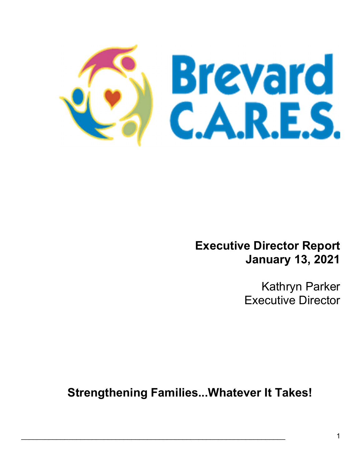

Executive Director Report January 13, 2021

> Kathryn Parker Executive Director

Strengthening Families...Whatever It Takes!

 $\mathcal{L}_\mathcal{L} = \mathcal{L}_\mathcal{L} = \mathcal{L}_\mathcal{L} = \mathcal{L}_\mathcal{L} = \mathcal{L}_\mathcal{L} = \mathcal{L}_\mathcal{L} = \mathcal{L}_\mathcal{L} = \mathcal{L}_\mathcal{L} = \mathcal{L}_\mathcal{L} = \mathcal{L}_\mathcal{L} = \mathcal{L}_\mathcal{L} = \mathcal{L}_\mathcal{L} = \mathcal{L}_\mathcal{L} = \mathcal{L}_\mathcal{L} = \mathcal{L}_\mathcal{L} = \mathcal{L}_\mathcal{L} = \mathcal{L}_\mathcal{L}$ 

Ξ